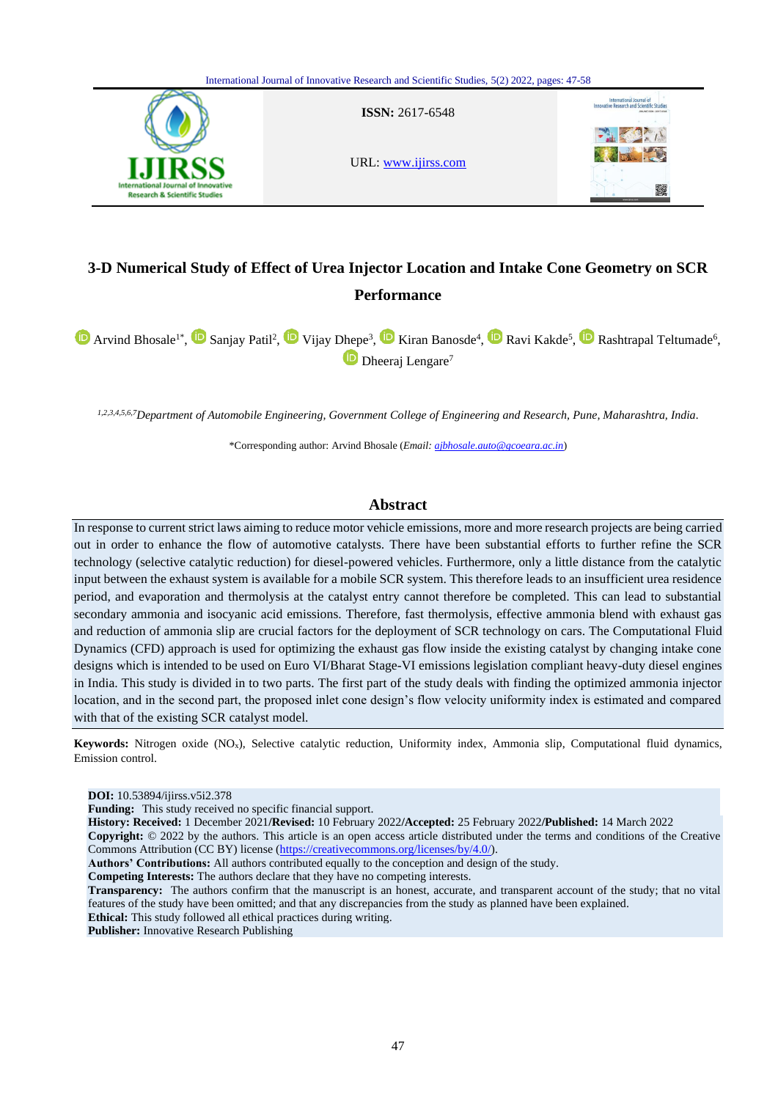

# **3-D Numerical Study of Effect of Urea Injector Location and Intake Cone Geometry on SCR Performance**

ArvindBhosale<sup>1\*</sup>, **Sanjay Patil<sup>2</sup>, U** Vijay Dhepe<sup>3</sup>, U Kiran Banosde<sup>4</sup>, U Ravi Kakde<sup>5</sup>, U Rashtrapal Teltumade<sup>6</sup>, **D** Dheeraj Lengare<sup>7</sup>

*1,2,3,4,5,6,7Department of Automobile Engineering, Government College of Engineering and Research, Pune, Maharashtra, India.*

\*Corresponding author: Arvind Bhosale (*Email: ajbhosale.auto@gcoeara.ac.in*)

# **Abstract**

In response to current strict laws aiming to reduce motor vehicle emissions, more and more research projects are being carried out in order to enhance the flow of automotive catalysts. There have been substantial efforts to further refine the SCR technology (selective catalytic reduction) for diesel-powered vehicles. Furthermore, only a little distance from the catalytic input between the exhaust system is available for a mobile SCR system. This therefore leads to an insufficient urea residence period, and evaporation and thermolysis at the catalyst entry cannot therefore be completed. This can lead to substantial secondary ammonia and isocyanic acid emissions. Therefore, fast thermolysis, effective ammonia blend with exhaust gas and reduction of ammonia slip are crucial factors for the deployment of SCR technology on cars. The Computational Fluid Dynamics (CFD) approach is used for optimizing the exhaust gas flow inside the existing catalyst by changing intake cone designs which is intended to be used on Euro VI/Bharat Stage-VI emissions legislation compliant heavy-duty diesel engines in India. This study is divided in to two parts. The first part of the study deals with finding the optimized ammonia injector location, and in the second part, the proposed inlet cone design's flow velocity uniformity index is estimated and compared with that of the existing SCR catalyst model.

**Keywords:** Nitrogen oxide (NOx), Selective catalytic reduction, Uniformity index, Ammonia slip, Computational fluid dynamics, Emission control.

**DOI:** 10.53894/ijirss.v5i2.378

**Funding:** This study received no specific financial support.

**History: Received:** 1 December 2021**/Revised:** 10 February 2022**/Accepted:** 25 February 2022**/Published:** 14 March 2022 **Copyright:** © 2022 by the authors. This article is an open access article distributed under the terms and conditions of the Creative Commons Attribution (CC BY) license [\(https://creativecommons.org/licenses/by/4.0/\)](https://creativecommons.org/licenses/by/4.0/).

**Authors' Contributions:** All authors contributed equally to the conception and design of the study.

**Competing Interests:** The authors declare that they have no competing interests.

**Transparency:** The authors confirm that the manuscript is an honest, accurate, and transparent account of the study; that no vital features of the study have been omitted; and that any discrepancies from the study as planned have been explained. **Ethical:** This study followed all ethical practices during writing.

**Publisher:** Innovative Research Publishing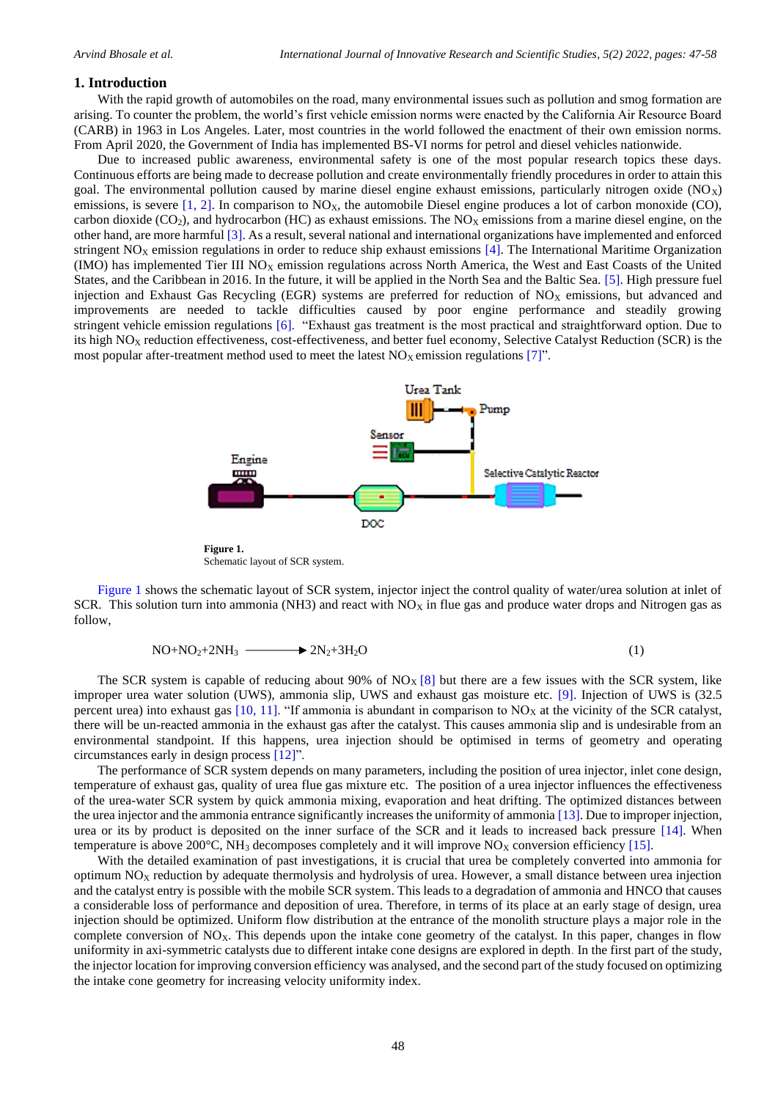### **1. Introduction**

With the rapid growth of automobiles on the road, many environmental issues such as pollution and smog formation are arising. To counter the problem, the world's first vehicle emission norms were enacted by the California Air Resource Board (CARB) in 1963 in Los Angeles. Later, most countries in the world followed the enactment of their own emission norms. From April 2020, the Government of India has implemented BS-VI norms for petrol and diesel vehicles nationwide.

Due to increased public awareness, environmental safety is one of the most popular research topics these days. Continuous efforts are being made to decrease pollution and create environmentally friendly procedures in order to attain this goal. The environmental pollution caused by marine diesel engine exhaust emissions, particularly nitrogen oxide  $(NO<sub>X</sub>)$ emissions, is severe  $[1, 2]$  $[1, 2]$ . In comparison to  $NQ<sub>x</sub>$ , the automobile Diesel engine produces a lot of carbon monoxide (CO), carbon dioxide (CO<sub>2</sub>), and hydrocarbon (HC) as exhaust emissions. The  $NO<sub>X</sub>$  emissions from a marine diesel engine, on the other hand, are more harmful [\[3\]](#page-10-2). As a result, several national and international organizations have implemented and enforced stringent  $NO<sub>X</sub>$  emission regulations in order to reduce ship exhaust emissions [\[4\]](#page-10-3). The International Maritime Organization (IMO) has implemented Tier III  $NO<sub>X</sub>$  emission regulations across North America, the West and East Coasts of the United States, and the Caribbean in 2016. In the future, it will be applied in the North Sea and the Baltic Sea. [\[5\]](#page-10-4). High pressure fuel injection and Exhaust Gas Recycling (EGR) systems are preferred for reduction of  $NO<sub>X</sub>$  emissions, but advanced and improvements are needed to tackle difficulties caused by poor engine performance and steadily growing stringent vehicle emission regulations [\[6\]](#page-10-5). "Exhaust gas treatment is the most practical and straightforward option. Due to its high  $NO<sub>X</sub>$  reduction effectiveness, cost-effectiveness, and better fuel economy, Selective Catalyst Reduction (SCR) is the most popular after-treatment method used to meet the latest  $NO<sub>x</sub>$  emission regulations [\[7\]](#page-10-6)".



Schematic layout of SCR system.

<span id="page-1-0"></span>[Figure 1](#page-1-0) shows the schematic layout of SCR system, injector inject the control quality of water/urea solution at inlet of SCR. This solution turn into ammonia (NH3) and react with  $NO<sub>X</sub>$  in flue gas and produce water drops and Nitrogen gas as follow,

$$
NO+NO2+2NH3 \longrightarrow 2N2+3H2O
$$
 (1)

The SCR system is capable of reducing about 90% of  $NO<sub>X</sub>[8]$  $NO<sub>X</sub>[8]$  but there are a few issues with the SCR system, like improper urea water solution (UWS), ammonia slip, UWS and exhaust gas moisture etc. [\[9\]](#page-11-1). Injection of UWS is (32.5 percent urea) into exhaust gas  $[10, 11]$  $[10, 11]$ . "If ammonia is abundant in comparison to  $NO<sub>X</sub>$  at the vicinity of the SCR catalyst, there will be un-reacted ammonia in the exhaust gas after the catalyst. This causes ammonia slip and is undesirable from an environmental standpoint. If this happens, urea injection should be optimised in terms of geometry and operating circumstances early in design process [\[12\]](#page-11-4)".

The performance of SCR system depends on many parameters, including the position of urea injector, inlet cone design, temperature of exhaust gas, quality of urea flue gas mixture etc. The position of a urea injector influences the effectiveness of the urea-water SCR system by quick ammonia mixing, evaporation and heat drifting. The optimized distances between the urea injector and the ammonia entrance significantly increases the uniformity of ammonia [\[13\]](#page-11-5). Due to improper injection, urea or its by product is deposited on the inner surface of the SCR and it leads to increased back pressure [\[14\]](#page-11-6). When temperature is above 200 $^{\circ}$ C, NH<sub>3</sub> decomposes completely and it will improve NO<sub>X</sub> conversion efficiency [\[15\]](#page-11-7).

With the detailed examination of past investigations, it is crucial that urea be completely converted into ammonia for optimum  $NO<sub>X</sub>$  reduction by adequate thermolysis and hydrolysis of urea. However, a small distance between urea injection and the catalyst entry is possible with the mobile SCR system. This leads to a degradation of ammonia and HNCO that causes a considerable loss of performance and deposition of urea. Therefore, in terms of its place at an early stage of design, urea injection should be optimized. Uniform flow distribution at the entrance of the monolith structure plays a major role in the complete conversion of  $N_{\alpha}$ . This depends upon the intake cone geometry of the catalyst. In this paper, changes in flow uniformity in axi-symmetric catalysts due to different intake cone designs are explored in depth. In the first part of the study, the injector location for improving conversion efficiency was analysed, and the second part of the study focused on optimizing the intake cone geometry for increasing velocity uniformity index.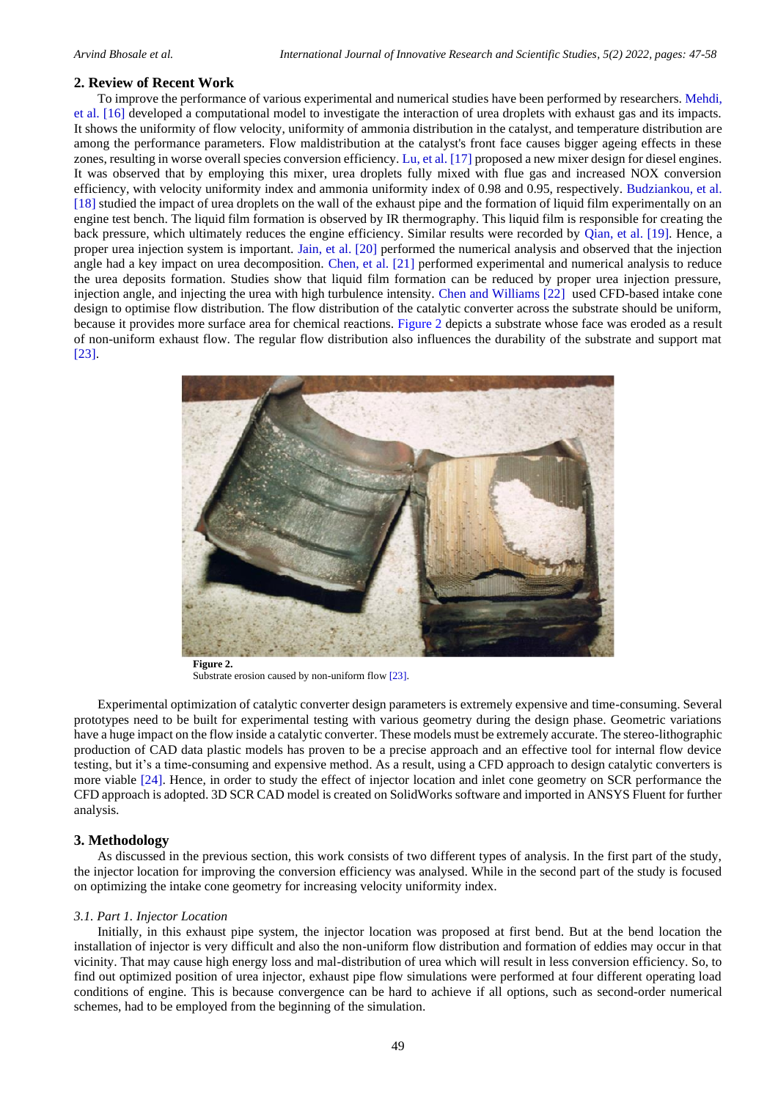### **2. Review of Recent Work**

To improve the performance of various experimental and numerical studies have been performed by researchers[. Mehdi,](#page-11-8)  [et al. \[16\]](#page-11-8) developed a computational model to investigate the interaction of urea droplets with exhaust gas and its impacts. It shows the uniformity of flow velocity, uniformity of ammonia distribution in the catalyst, and temperature distribution are among the performance parameters. Flow maldistribution at the catalyst's front face causes bigger ageing effects in these zones, resulting in worse overall species conversion efficiency. [Lu, et al. \[17\]](#page-11-9) proposed a new mixer design for diesel engines. It was observed that by employing this mixer, urea droplets fully mixed with flue gas and increased NOX conversion efficiency, with velocity uniformity index and ammonia uniformity index of 0.98 and 0.95, respectively. [Budziankou, et al.](#page-11-10)  [\[18\]](#page-11-10) studied the impact of urea droplets on the wall of the exhaust pipe and the formation of liquid film experimentally on an engine test bench. The liquid film formation is observed by IR thermography. This liquid film is responsible for creating the back pressure, which ultimately reduces the engine efficiency. Similar results were recorded by [Qian, et al. \[19\]](#page-11-11). Hence, a proper urea injection system is important. [Jain, et al. \[20\]](#page-11-12) performed the numerical analysis and observed that the injection angle had a key impact on urea decomposition. [Chen, et al. \[21\]](#page-11-13) performed experimental and numerical analysis to reduce the urea deposits formation. Studies show that liquid film formation can be reduced by proper urea injection pressure, injection angle, and injecting the urea with high turbulence intensity. [Chen and Williams \[22\]](#page-11-14) used CFD-based intake cone design to optimise flow distribution. The flow distribution of the catalytic converter across the substrate should be uniform, because it provides more surface area for chemical reactions. [Figure 2](#page-2-0) depicts a substrate whose face was eroded as a result of non-uniform exhaust flow. The regular flow distribution also influences the durability of the substrate and support mat [\[23\]](#page-11-15).



**Figure 2.** Substrate erosion caused by non-uniform flow [\[23\]](#page-11-15).

<span id="page-2-0"></span>Experimental optimization of catalytic converter design parameters is extremely expensive and time-consuming. Several prototypes need to be built for experimental testing with various geometry during the design phase. Geometric variations have a huge impact on the flow inside a catalytic converter. These models must be extremely accurate. The stereo-lithographic production of CAD data plastic models has proven to be a precise approach and an effective tool for internal flow device testing, but it's a time-consuming and expensive method. As a result, using a CFD approach to design catalytic converters is more viable [\[24\]](#page-11-16). Hence, in order to study the effect of injector location and inlet cone geometry on SCR performance the CFD approach is adopted. 3D SCR CAD model is created on SolidWorks software and imported in ANSYS Fluent for further analysis.

### **3. Methodology**

As discussed in the previous section, this work consists of two different types of analysis. In the first part of the study, the injector location for improving the conversion efficiency was analysed. While in the second part of the study is focused on optimizing the intake cone geometry for increasing velocity uniformity index.

#### *3.1. Part 1. Injector Location*

Initially, in this exhaust pipe system, the injector location was proposed at first bend. But at the bend location the installation of injector is very difficult and also the non-uniform flow distribution and formation of eddies may occur in that vicinity. That may cause high energy loss and mal-distribution of urea which will result in less conversion efficiency. So, to find out optimized position of urea injector, exhaust pipe flow simulations were performed at four different operating load conditions of engine. This is because convergence can be hard to achieve if all options, such as second-order numerical schemes, had to be employed from the beginning of the simulation.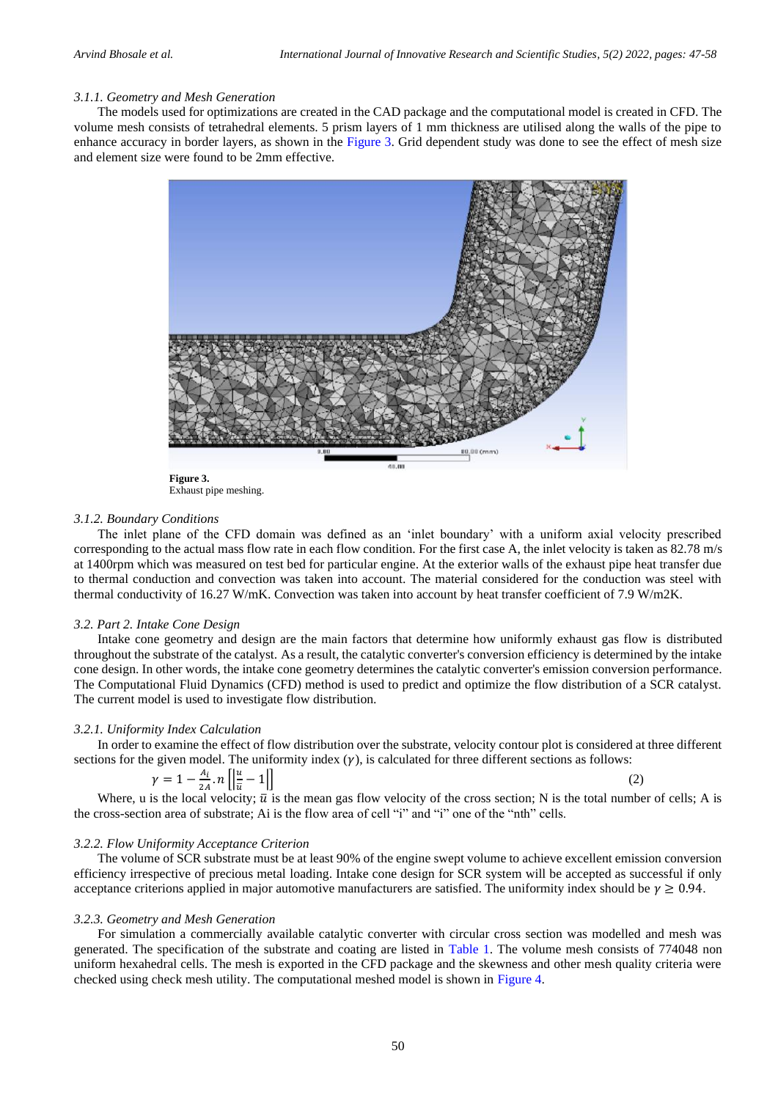### *3.1.1. Geometry and Mesh Generation*

The models used for optimizations are created in the CAD package and the computational model is created in CFD. The volume mesh consists of tetrahedral elements. 5 prism layers of 1 mm thickness are utilised along the walls of the pipe to enhance accuracy in border layers, as shown in the [Figure 3.](#page-3-0) Grid dependent study was done to see the effect of mesh size and element size were found to be 2mm effective.



**Figure 3.** Exhaust pipe meshing.

#### <span id="page-3-0"></span>*3.1.2. Boundary Conditions*

The inlet plane of the CFD domain was defined as an 'inlet boundary' with a uniform axial velocity prescribed corresponding to the actual mass flow rate in each flow condition. For the first case A, the inlet velocity is taken as 82.78 m/s at 1400rpm which was measured on test bed for particular engine. At the exterior walls of the exhaust pipe heat transfer due to thermal conduction and convection was taken into account. The material considered for the conduction was steel with thermal conductivity of 16.27 W/mK. Convection was taken into account by heat transfer coefficient of 7.9 W/m2K.

#### *3.2. Part 2. Intake Cone Design*

Intake cone geometry and design are the main factors that determine how uniformly exhaust gas flow is distributed throughout the substrate of the catalyst. As a result, the catalytic converter's conversion efficiency is determined by the intake cone design. In other words, the intake cone geometry determines the catalytic converter's emission conversion performance. The Computational Fluid Dynamics (CFD) method is used to predict and optimize the flow distribution of a SCR catalyst. The current model is used to investigate flow distribution.

### *3.2.1. Uniformity Index Calculation*

In order to examine the effect of flow distribution over the substrate, velocity contour plot is considered at three different sections for the given model. The uniformity index  $(y)$ , is calculated for three different sections as follows:

$$
\gamma = 1 - \frac{A_i}{2A} \cdot n \left[ \left| \frac{u}{\overline{u}} - 1 \right| \right] \tag{2}
$$

Where, u is the local velocity;  $\bar{u}$  is the mean gas flow velocity of the cross section; N is the total number of cells; A is the cross-section area of substrate; Ai is the flow area of cell "i" and "i" one of the "nth" cells.

### *3.2.2. Flow Uniformity Acceptance Criterion*

The volume of SCR substrate must be at least 90% of the engine swept volume to achieve excellent emission conversion efficiency irrespective of precious metal loading. Intake cone design for SCR system will be accepted as successful if only acceptance criterions applied in major automotive manufacturers are satisfied. The uniformity index should be  $\gamma \geq 0.94$ .

### *3.2.3. Geometry and Mesh Generation*

For simulation a commercially available catalytic converter with circular cross section was modelled and mesh was generated. The specification of the substrate and coating are listed in [Table 1.](#page-4-0) The volume mesh consists of 774048 non uniform hexahedral cells. The mesh is exported in the CFD package and the skewness and other mesh quality criteria were checked using check mesh utility. The computational meshed model is shown in [Figure 4.](#page-4-1)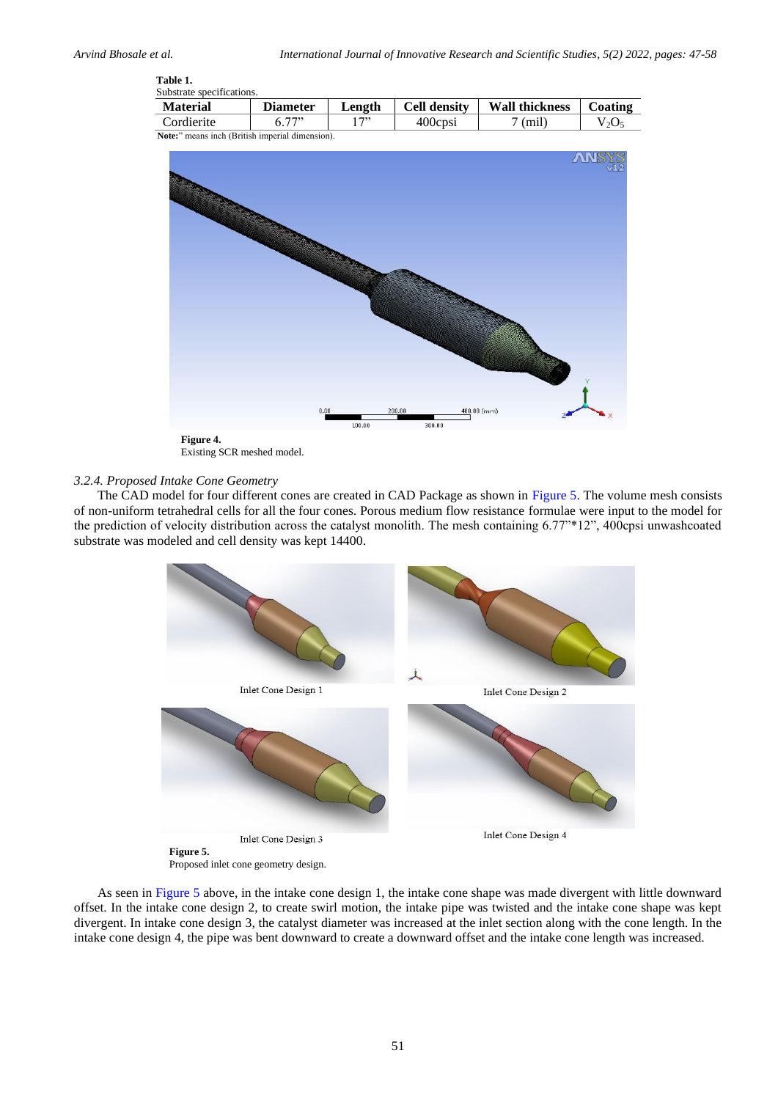#### <span id="page-4-0"></span>**Table 1.** Substrate specifications.

| Dubstrate specifications. |                 |        |                     |                       |         |  |  |
|---------------------------|-----------------|--------|---------------------|-----------------------|---------|--|--|
| <b>Material</b>           | <b>Diameter</b> | Length | <b>Cell density</b> | <b>Wall thickness</b> | Coating |  |  |
| Cordierite                |                 | 722    | 400cpsi             | mil                   | $V_2O$  |  |  |

**Note:**" means inch (British imperial dimension).



Existing SCR meshed model.

# <span id="page-4-1"></span>*3.2.4. Proposed Intake Cone Geometry*

The CAD model for four different cones are created in CAD Package as shown in [Figure 5.](#page-4-2) The volume mesh consists of non-uniform tetrahedral cells for all the four cones. Porous medium flow resistance formulae were input to the model for the prediction of velocity distribution across the catalyst monolith. The mesh containing 6.77"\*12", 400cpsi unwashcoated substrate was modeled and cell density was kept 14400.



Proposed inlet cone geometry design.

<span id="page-4-2"></span>As seen in [Figure 5](#page-4-2) above, in the intake cone design 1, the intake cone shape was made divergent with little downward offset. In the intake cone design 2, to create swirl motion, the intake pipe was twisted and the intake cone shape was kept divergent. In intake cone design 3, the catalyst diameter was increased at the inlet section along with the cone length. In the intake cone design 4, the pipe was bent downward to create a downward offset and the intake cone length was increased.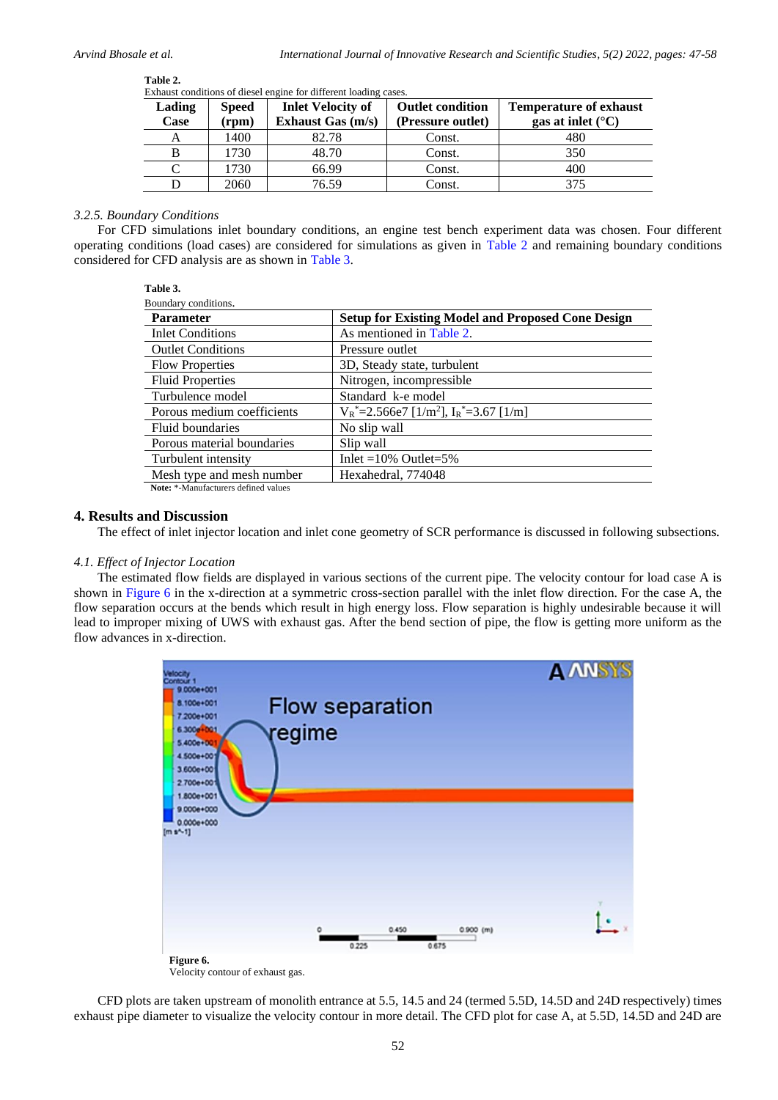L,

 $\overline{\phantom{0}}$ 

| EXHAUSE CONDITIONS OF DIESCLI CHEMIC TOP UNTERCITE FORMING CASES. |                       |                                                 |                                              |                                                             |  |  |
|-------------------------------------------------------------------|-----------------------|-------------------------------------------------|----------------------------------------------|-------------------------------------------------------------|--|--|
| Lading<br>Case                                                    | <b>Speed</b><br>(rpm) | <b>Inlet Velocity of</b><br>Exhaust Gas $(m/s)$ | <b>Outlet condition</b><br>(Pressure outlet) | <b>Temperature of exhaust</b><br>gas at inlet $(^{\circ}C)$ |  |  |
| А                                                                 | 1400                  | 82.78                                           | Const.                                       | 480                                                         |  |  |
| B                                                                 | 1730                  | 48.70                                           | Const.                                       | 350                                                         |  |  |
|                                                                   | 1730                  | 66.99                                           | Const.                                       | 400                                                         |  |  |
|                                                                   | 2060                  | 76.59                                           | Const.                                       | 375                                                         |  |  |
|                                                                   |                       |                                                 |                                              |                                                             |  |  |

<span id="page-5-0"></span>**Table 2.**  Exhaust conditions of diesel engine for different loading cases.

# *3.2.5. Boundary Conditions*

<span id="page-5-1"></span>For CFD simulations inlet boundary conditions, an engine test bench experiment data was chosen. Four different operating conditions (load cases) are considered for simulations as given in [Table 2](#page-5-0) and remaining boundary conditions considered for CFD analysis are as shown in [Table 3.](#page-5-1)

| .<br>۰,<br>×<br>۰.<br>۰.<br>$\sim$<br>× |
|-----------------------------------------|
|-----------------------------------------|

| Boundary conditions.                                                    |                                                           |  |
|-------------------------------------------------------------------------|-----------------------------------------------------------|--|
| <b>Parameter</b>                                                        | <b>Setup for Existing Model and Proposed Cone Design</b>  |  |
| <b>Inlet Conditions</b>                                                 | As mentioned in Table 2.                                  |  |
| <b>Outlet Conditions</b>                                                | Pressure outlet                                           |  |
| <b>Flow Properties</b>                                                  | 3D, Steady state, turbulent                               |  |
| <b>Fluid Properties</b>                                                 | Nitrogen, incompressible                                  |  |
| Turbulence model                                                        | Standard k-e model                                        |  |
| Porous medium coefficients                                              | $V_R^*$ =2.566e7 [1/m <sup>2</sup> ], $I_R^*$ =3.67 [1/m] |  |
| Fluid boundaries                                                        | No slip wall                                              |  |
| Porous material boundaries                                              | Slip wall                                                 |  |
| Turbulent intensity                                                     | Inlet = $10\%$ Outlet = $5\%$                             |  |
| Mesh type and mesh number                                               | Hexahedral, 774048                                        |  |
| $\mathbf{M}$ , while $\mathbf{M}$ , and $\mathbf{M}$ , and $\mathbf{M}$ |                                                           |  |

**Note:** \*-Manufacturers defined values

# **4. Results and Discussion**

The effect of inlet injector location and inlet cone geometry of SCR performance is discussed in following subsections.

### *4.1. Effect of Injector Location*

The estimated flow fields are displayed in various sections of the current pipe. The velocity contour for load case A is shown in [Figure 6](#page-5-2) in the x-direction at a symmetric cross-section parallel with the inlet flow direction. For the case A, the flow separation occurs at the bends which result in high energy loss. Flow separation is highly undesirable because it will lead to improper mixing of UWS with exhaust gas. After the bend section of pipe, the flow is getting more uniform as the flow advances in x-direction.



Velocity contour of exhaust gas.

<span id="page-5-2"></span>CFD plots are taken upstream of monolith entrance at 5.5, 14.5 and 24 (termed 5.5D, 14.5D and 24D respectively) times exhaust pipe diameter to visualize the velocity contour in more detail. The CFD plot for case A, at 5.5D, 14.5D and 24D are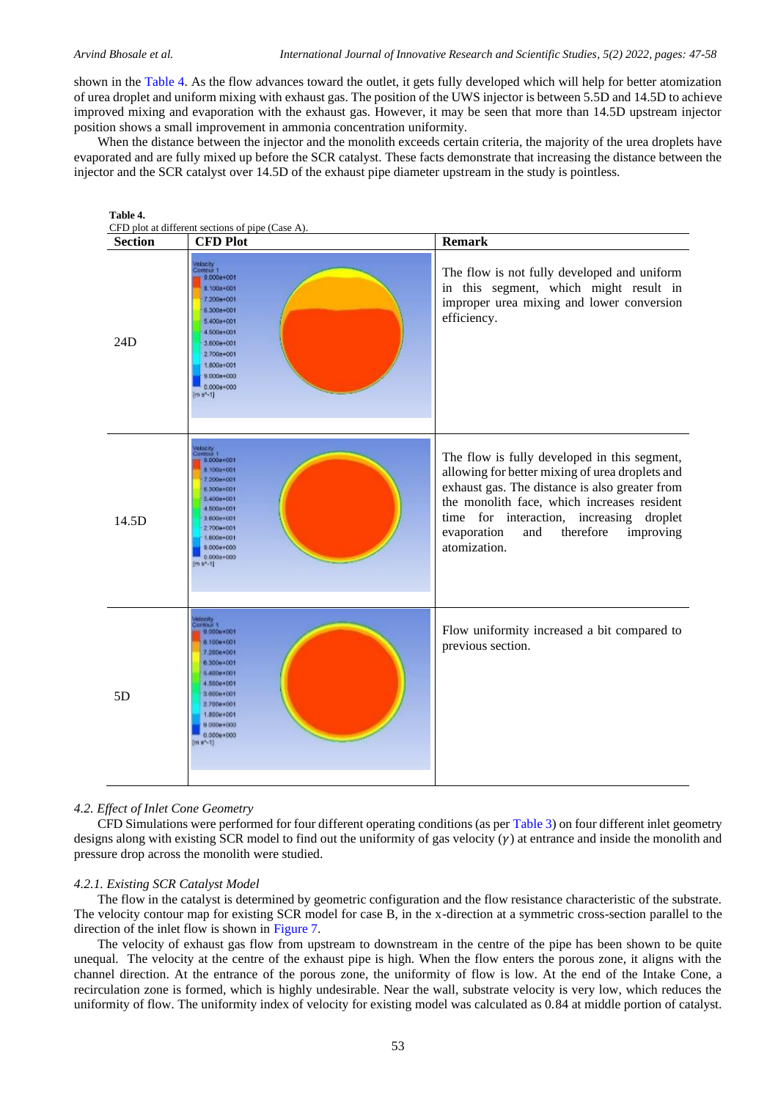shown in the [Table 4.](#page-6-0) As the flow advances toward the outlet, it gets fully developed which will help for better atomization of urea droplet and uniform mixing with exhaust gas. The position of the UWS injector is between 5.5D and 14.5D to achieve improved mixing and evaporation with the exhaust gas. However, it may be seen that more than 14.5D upstream injector position shows a small improvement in ammonia concentration uniformity.

When the distance between the injector and the monolith exceeds certain criteria, the majority of the urea droplets have evaporated and are fully mixed up before the SCR catalyst. These facts demonstrate that increasing the distance between the injector and the SCR catalyst over 14.5D of the exhaust pipe diameter upstream in the study is pointless.

<span id="page-6-0"></span>

### *4.2. Effect of Inlet Cone Geometry*

CFD Simulations were performed for four different operating conditions (as pe[r Table 3\)](#page-5-1) on four different inlet geometry designs along with existing SCR model to find out the uniformity of gas velocity  $(\gamma)$  at entrance and inside the monolith and pressure drop across the monolith were studied.

### *4.2.1. Existing SCR Catalyst Model*

The flow in the catalyst is determined by geometric configuration and the flow resistance characteristic of the substrate. The velocity contour map for existing SCR model for case B, in the x-direction at a symmetric cross-section parallel to the direction of the inlet flow is shown in [Figure 7.](#page-7-0)

The velocity of exhaust gas flow from upstream to downstream in the centre of the pipe has been shown to be quite unequal. The velocity at the centre of the exhaust pipe is high. When the flow enters the porous zone, it aligns with the channel direction. At the entrance of the porous zone, the uniformity of flow is low. At the end of the Intake Cone, a recirculation zone is formed, which is highly undesirable. Near the wall, substrate velocity is very low, which reduces the uniformity of flow. The uniformity index of velocity for existing model was calculated as 0.84 at middle portion of catalyst.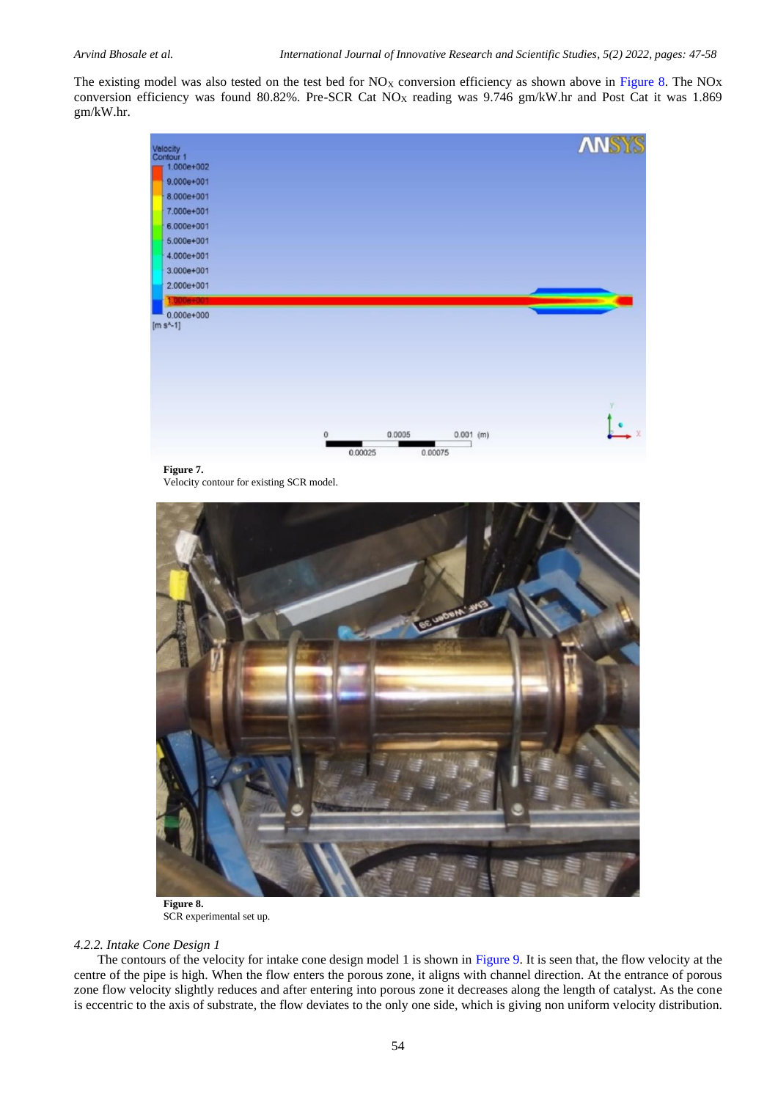The existing model was also tested on the test bed for  $NO<sub>X</sub>$  conversion efficiency as shown above in [Figure 8.](#page-7-1) The NOx conversion efficiency was found 80.82%. Pre-SCR Cat NO<sub>X</sub> reading was 9.746 gm/kW.hr and Post Cat it was 1.869 gm/kW.hr.



Velocity contour for existing SCR model.

<span id="page-7-0"></span>

**Figure 8.** SCR experimental set up.

### <span id="page-7-1"></span>*4.2.2. Intake Cone Design 1*

The contours of the velocity for intake cone design model 1 is shown in [Figure 9.](#page-8-0) It is seen that, the flow velocity at the centre of the pipe is high. When the flow enters the porous zone, it aligns with channel direction. At the entrance of porous zone flow velocity slightly reduces and after entering into porous zone it decreases along the length of catalyst. As the cone is eccentric to the axis of substrate, the flow deviates to the only one side, which is giving non uniform velocity distribution.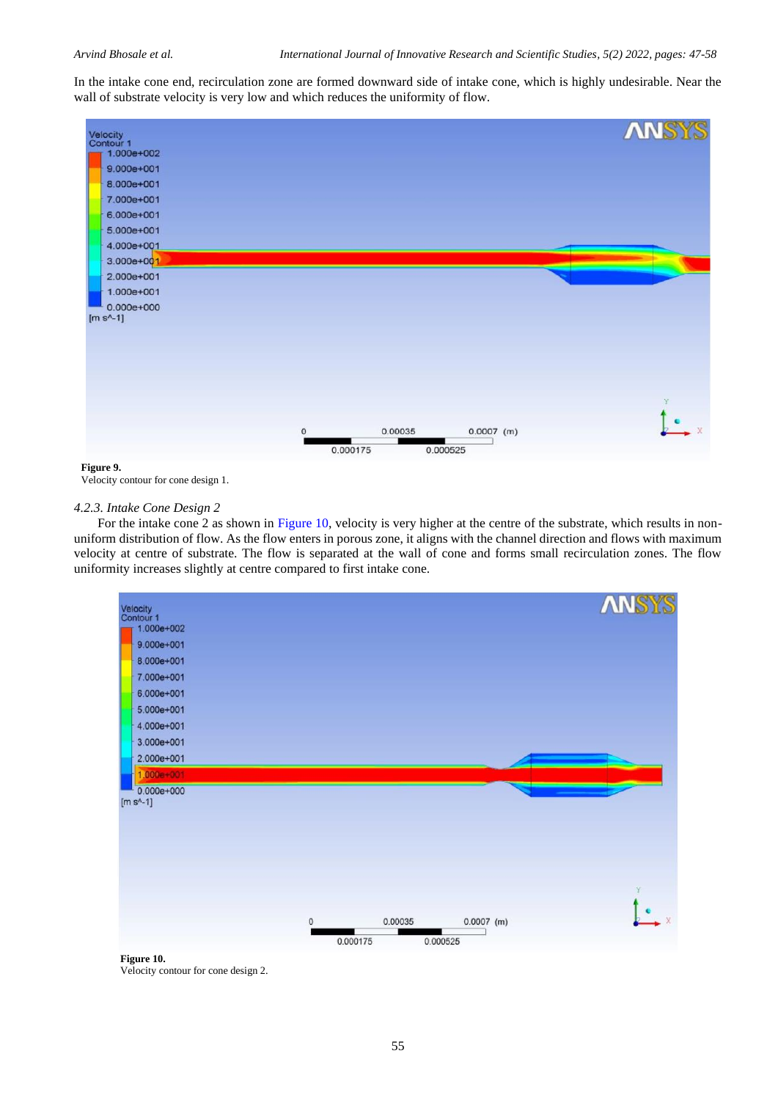In the intake cone end, recirculation zone are formed downward side of intake cone, which is highly undesirable. Near the wall of substrate velocity is very low and which reduces the uniformity of flow.



<span id="page-8-0"></span>**Figure 9.**

Velocity contour for cone design 1.

### *4.2.3. Intake Cone Design 2*

For the intake cone 2 as shown in [Figure 10,](#page-8-1) velocity is very higher at the centre of the substrate, which results in nonuniform distribution of flow. As the flow enters in porous zone, it aligns with the channel direction and flows with maximum velocity at centre of substrate. The flow is separated at the wall of cone and forms small recirculation zones. The flow uniformity increases slightly at centre compared to first intake cone.

<span id="page-8-1"></span>

 **Figure 10.** Velocity contour for cone design 2.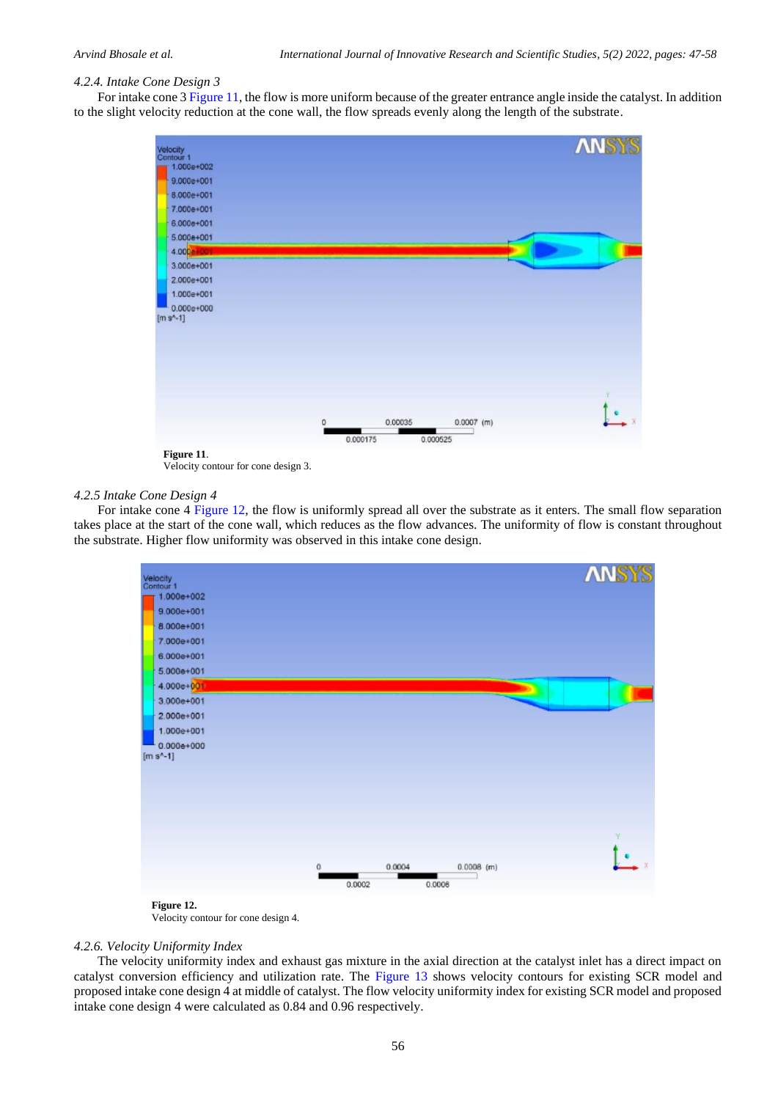## *4.2.4. Intake Cone Design 3*

For intake cone 3 [Figure 11,](#page-9-0) the flow is more uniform because of the greater entrance angle inside the catalyst. In addition to the slight velocity reduction at the cone wall, the flow spreads evenly along the length of the substrate.



Velocity contour for cone design 3.

### <span id="page-9-0"></span>*4.2.5 Intake Cone Design 4*

For intake cone 4 [Figure 12,](#page-9-1) the flow is uniformly spread all over the substrate as it enters. The small flow separation takes place at the start of the cone wall, which reduces as the flow advances. The uniformity of flow is constant throughout the substrate. Higher flow uniformity was observed in this intake cone design.





### <span id="page-9-1"></span>*4.2.6. Velocity Uniformity Index*

The velocity uniformity index and exhaust gas mixture in the axial direction at the catalyst inlet has a direct impact on catalyst conversion efficiency and utilization rate. The [Figure 13](#page-10-7) shows velocity contours for existing SCR model and proposed intake cone design 4 at middle of catalyst. The flow velocity uniformity index for existing SCR model and proposed intake cone design 4 were calculated as 0.84 and 0.96 respectively.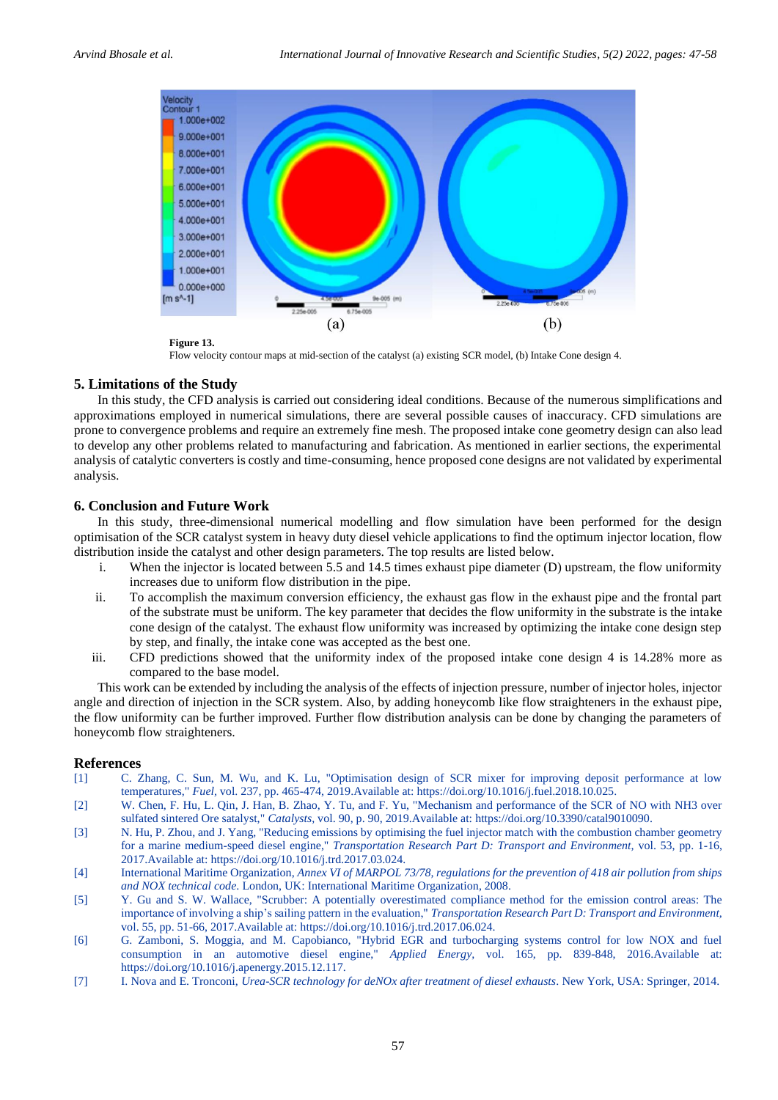

Flow velocity contour maps at mid-section of the catalyst (a) existing SCR model, (b) Intake Cone design 4.

# <span id="page-10-7"></span>**5. Limitations of the Study**

In this study, the CFD analysis is carried out considering ideal conditions. Because of the numerous simplifications and approximations employed in numerical simulations, there are several possible causes of inaccuracy. CFD simulations are prone to convergence problems and require an extremely fine mesh. The proposed intake cone geometry design can also lead to develop any other problems related to manufacturing and fabrication. As mentioned in earlier sections, the experimental analysis of catalytic converters is costly and time-consuming, hence proposed cone designs are not validated by experimental analysis.

# **6. Conclusion and Future Work**

In this study, three-dimensional numerical modelling and flow simulation have been performed for the design optimisation of the SCR catalyst system in heavy duty diesel vehicle applications to find the optimum injector location, flow distribution inside the catalyst and other design parameters. The top results are listed below.

- i. When the injector is located between 5.5 and 14.5 times exhaust pipe diameter (D) upstream, the flow uniformity increases due to uniform flow distribution in the pipe.
- ii. To accomplish the maximum conversion efficiency, the exhaust gas flow in the exhaust pipe and the frontal part of the substrate must be uniform. The key parameter that decides the flow uniformity in the substrate is the intake cone design of the catalyst. The exhaust flow uniformity was increased by optimizing the intake cone design step by step, and finally, the intake cone was accepted as the best one.
- iii. CFD predictions showed that the uniformity index of the proposed intake cone design 4 is 14.28% more as compared to the base model.

This work can be extended by including the analysis of the effects of injection pressure, number of injector holes, injector angle and direction of injection in the SCR system. Also, by adding honeycomb like flow straighteners in the exhaust pipe, the flow uniformity can be further improved. Further flow distribution analysis can be done by changing the parameters of honeycomb flow straighteners.

### **References**

- <span id="page-10-0"></span>[1] C. Zhang, C. Sun, M. Wu, and K. Lu, "Optimisation design of SCR mixer for improving deposit performance at low temperatures," *Fuel,* vol. 237, pp. 465-474, 2019.Available at: https://doi.org/10.1016/j.fuel.2018.10.025.
- <span id="page-10-1"></span>[2] W. Chen, F. Hu, L. Qin, J. Han, B. Zhao, Y. Tu, and F. Yu, "Mechanism and performance of the SCR of NO with NH3 over sulfated sintered Ore satalyst," *Catalysts,* vol. 90, p. 90, 2019.Available at: https://doi.org/10.3390/catal9010090.
- <span id="page-10-2"></span>[3] N. Hu, P. Zhou, and J. Yang, "Reducing emissions by optimising the fuel injector match with the combustion chamber geometry for a marine medium-speed diesel engine," *Transportation Research Part D: Transport and Environment,* vol. 53, pp. 1-16, 2017.Available at: https://doi.org/10.1016/j.trd.2017.03.024.
- <span id="page-10-3"></span>[4] International Maritime Organization, *Annex VI of MARPOL 73/78, regulations for the prevention of 418 air pollution from ships and NOX technical code*. London, UK: International Maritime Organization, 2008.
- <span id="page-10-4"></span>[5] Y. Gu and S. W. Wallace, "Scrubber: A potentially overestimated compliance method for the emission control areas: The importance of involving a ship's sailing pattern in the evaluation," *Transportation Research Part D: Transport and Environment,*  vol. 55, pp. 51-66, 2017.Available at: https://doi.org/10.1016/j.trd.2017.06.024.
- <span id="page-10-5"></span>[6] G. Zamboni, S. Moggia, and M. Capobianco, "Hybrid EGR and turbocharging systems control for low NOX and fuel consumption in an automotive diesel engine," *Applied Energy,* vol. 165, pp. 839-848, 2016.Available at: https://doi.org/10.1016/j.apenergy.2015.12.117.
- <span id="page-10-6"></span>[7] I. Nova and E. Tronconi, *Urea-SCR technology for deNOx after treatment of diesel exhausts*. New York, USA: Springer, 2014.